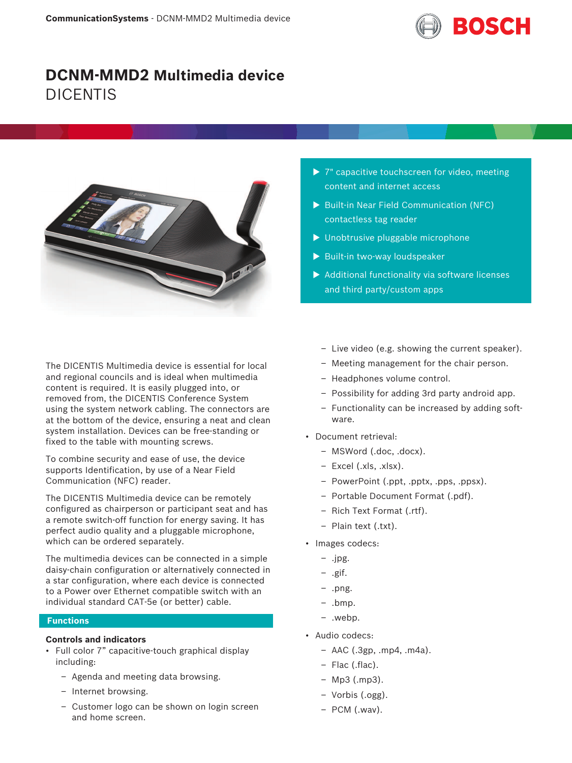

# **DCNM-MMD2 Multimedia device** DICENTIS



The DICENTIS Multimedia device is essential for local and regional councils and is ideal when multimedia content is required. It is easily plugged into, or removed from, the DICENTIS Conference System using the system network cabling. The connectors are at the bottom of the device, ensuring a neat and clean system installation. Devices can be free‑standing or fixed to the table with mounting screws.

To combine security and ease of use, the device supports Identification, by use of a Near Field Communication (NFC) reader.

The DICENTIS Multimedia device can be remotely configured as chairperson or participant seat and has a remote switch-off function for energy saving. It has perfect audio quality and a pluggable microphone, which can be ordered separately.

The multimedia devices can be connected in a simple daisy‑chain configuration or alternatively connected in a star configuration, where each device is connected to a Power over Ethernet compatible switch with an individual standard CAT‑5e (or better) cable.

#### **Functions**

# **Controls and indicators**

- Full color 7" capacitive-touch graphical display including:
	- Agenda and meeting data browsing.
	- Internet browsing.
	- Customer logo can be shown on login screen and home screen.
- $\triangleright$  7" capacitive touchscreen for video, meeting content and internet access
- ▶ Built-in Near Field Communication (NFC) contactless tag reader
- $\blacktriangleright$  Unobtrusive pluggable microphone
- $\blacktriangleright$  Built-in two-way loudspeaker
- $\blacktriangleright$  Additional functionality via software licenses and third party/custom apps
	- Live video (e.g. showing the current speaker).
	- Meeting management for the chair person.
	- Headphones volume control.
	- Possibility for adding 3rd party android app.
	- Functionality can be increased by adding software.
- Document retrieval:
	- MSWord (.doc, .docx).
	- Excel (.xls, .xlsx).
	- PowerPoint (.ppt, .pptx, .pps, .ppsx).
	- Portable Document Format (.pdf).
	- Rich Text Format (.rtf).
	- Plain text (.txt).
- Images codecs:
	- .jpg.
	- .gif.
	- .png.
	- .bmp.
	- .webp.
- Audio codecs:
	- $-$  AAC (.3gp, .mp4, .m4a).
	- Flac (.flac).
	- Mp3 (.mp3).
	- Vorbis (.ogg).
	- PCM (.wav).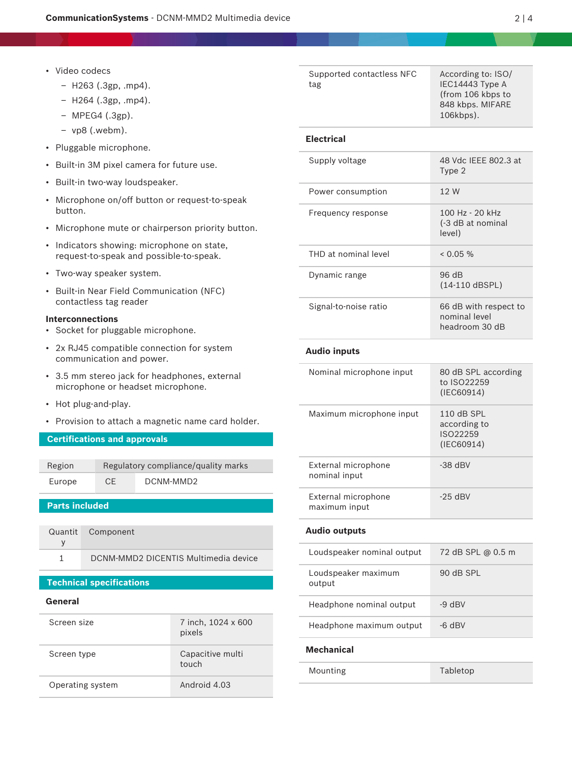- Video codecs
	- H263 (.3gp, .mp4).
	- H264 (.3gp, .mp4).
	- MPEG4 (.3gp).
	- vp8 (.webm).
- Pluggable microphone.
- Built-in 3M pixel camera for future use.
- Built-in two-way loudspeaker.
- Microphone on/off button or request-to-speak button.
- Microphone mute or chairperson priority button.
- Indicators showing: microphone on state, request-to-speak and possible-to-speak.
- Two‑way speaker system.
- Built‑in Near Field Communication (NFC) contactless tag reader

# **Interconnections**

- Socket for pluggable microphone.
- 2x RJ45 compatible connection for system communication and power.
- 3.5 mm stereo jack for headphones, external microphone or headset microphone.
- Hot plug-and-play.
- Provision to attach a magnetic name card holder.

# **Certifications and approvals**

| Region | Regulatory compliance/quality marks |           |
|--------|-------------------------------------|-----------|
| Europe | CE.                                 | DCNM-MMD2 |

# **Parts included**

| Quantit Component                    |
|--------------------------------------|
|                                      |
| DCNM-MMD2 DICENTIS Multimedia device |

# **Technical specifications**

# **General**

| Screen size      | 7 inch, 1024 x 600<br>pixels |
|------------------|------------------------------|
| Screen type      | Capacitive multi<br>touch    |
| Operating system | Android 4.03                 |

| Supported contactless NFC<br>tag | According to: ISO/<br>IEC14443 Type A<br>(from 106 kbps to<br>848 kbps. MIFARE<br>106kbps). |
|----------------------------------|---------------------------------------------------------------------------------------------|
| <b>Electrical</b>                |                                                                                             |
| Supply voltage                   | 48 Vdc IFFF 802.3 at<br>Type 2                                                              |
| Power consumption                | 12 W                                                                                        |
| Frequency response               | $100 Hz - 20 kHz$<br>(-3 dB at nominal<br>level)                                            |
| THD at nominal level             | $< 0.05 \%$                                                                                 |
| Dynamic range                    | 96 dB<br>$(14-110$ dBSPL)                                                                   |
| Signal-to-noise ratio            | 66 dB with respect to<br>nominal level<br>headroom 30 dB                                    |

#### **Audio inputs**

| Nominal microphone input             | 80 dB SPL according<br>to ISO22259<br>(IEC60914)       |
|--------------------------------------|--------------------------------------------------------|
| Maximum microphone input             | $110$ dB SPL<br>according to<br>ISO22259<br>(IEC60914) |
| External microphone<br>nominal input | $-38$ dBV                                              |
| External microphone<br>maximum input | $-25$ dBV                                              |

# **Audio outputs**

| Loudspeaker nominal output    | 72 dB SPL @ 0.5 m |
|-------------------------------|-------------------|
| Loudspeaker maximum<br>output | $90$ dB SPI       |
| Headphone nominal output      | $-9$ dBV          |
| Headphone maximum output      | $-6$ dBV          |

# **Mechanical**

Mounting Tabletop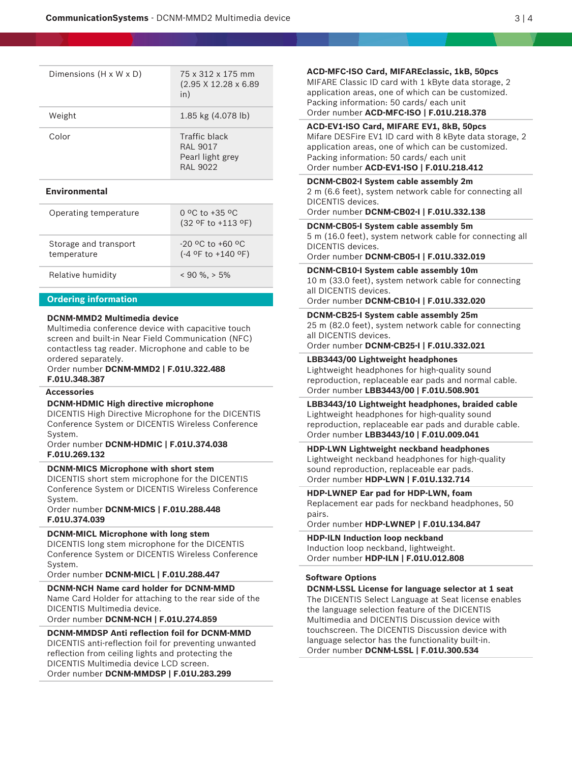| Dimensions $(H \times W \times D)$ | 75 x 312 x 175 mm<br>$(2.95 \times 12.28 \times 6.89)$<br>in) |
|------------------------------------|---------------------------------------------------------------|
| Weight                             | $1.85 \text{ kg}$ (4.078 lb)                                  |
| Color                              | Traffic black<br>RAI 9017<br>Pearl light grey<br>RAI 9022     |

#### **Environmental**

| Operating temperature                | $0$ °C to +35 °C<br>$(32$ of to +113 of)       |
|--------------------------------------|------------------------------------------------|
| Storage and transport<br>temperature | $-20$ °C to $+60$ °C<br>$(-4$ of to $+140$ of) |
| Relative humidity                    | $< 90 \%$ , $> 5\%$                            |

#### **Ordering information**

#### **DCNM-MMD2 Multimedia device**

Multimedia conference device with capacitive touch screen and built-in Near Field Communication (NFC) contactless tag reader. Microphone and cable to be ordered separately.

Order number **DCNM-MMD2 | F.01U.322.488 F.01U.348.387**

#### **Accessories**

#### **DCNM-HDMIC High directive microphone**

DICENTIS High Directive Microphone for the DICENTIS Conference System or DICENTIS Wireless Conference System.

Order number **DCNM-HDMIC | F.01U.374.038 F.01U.269.132**

### **DCNM-MICS Microphone with short stem**

DICENTIS short stem microphone for the DICENTIS Conference System or DICENTIS Wireless Conference System.

Order number **DCNM-MICS | F.01U.288.448 F.01U.374.039**

# **DCNM-MICL Microphone with long stem**

DICENTIS long stem microphone for the DICENTIS Conference System or DICENTIS Wireless Conference System.

Order number **DCNM-MICL | F.01U.288.447**

# **DCNM-NCH Name card holder for DCNM-MMD**

Name Card Holder for attaching to the rear side of the DICENTIS Multimedia device.

Order number **DCNM-NCH | F.01U.274.859**

#### **DCNM-MMDSP Anti reflection foil for DCNM-MMD**

DICENTIS anti-reflection foil for preventing unwanted reflection from ceiling lights and protecting the DICENTIS Multimedia device LCD screen. Order number **DCNM-MMDSP | F.01U.283.299**

**ACD-MFC-ISO Card, MIFAREclassic, 1kB, 50pcs**

MIFARE Classic ID card with 1 kByte data storage, 2 application areas, one of which can be customized. Packing information: 50 cards/ each unit Order number **ACD-MFC-ISO | F.01U.218.378**

#### **ACD-EV1-ISO Card, MIFARE EV1, 8kB, 50pcs**

Mifare DESFire EV1 ID card with 8 kByte data storage, 2 application areas, one of which can be customized. Packing information: 50 cards/ each unit Order number **ACD-EV1-ISO | F.01U.218.412**

# **DCNM-CB02-I System cable assembly 2m**

2 m (6.6 feet), system network cable for connecting all DICENTIS devices.

#### Order number **DCNM-CB02-I | F.01U.332.138**

#### **DCNM-CB05-I System cable assembly 5m**

5 m (16.0 feet), system network cable for connecting all DICENTIS devices.

Order number **DCNM-CB05-I | F.01U.332.019**

**DCNM-CB10-I System cable assembly 10m** 10 m (33.0 feet), system network cable for connecting all DICENTIS devices.

Order number **DCNM-CB10-I | F.01U.332.020**

# **DCNM-CB25-I System cable assembly 25m**

25 m (82.0 feet), system network cable for connecting all DICENTIS devices.

Order number **DCNM-CB25-I | F.01U.332.021**

#### **LBB3443/00 Lightweight headphones**

Lightweight headphones for high-quality sound reproduction, replaceable ear pads and normal cable. Order number **LBB3443/00 | F.01U.508.901**

**LBB3443/10 Lightweight headphones, braided cable** Lightweight headphones for high-quality sound reproduction, replaceable ear pads and durable cable. Order number **LBB3443/10 | F.01U.009.041**

#### **HDP-LWN Lightweight neckband headphones**

Lightweight neckband headphones for high-quality sound reproduction, replaceable ear pads. Order number **HDP-LWN | F.01U.132.714**

# **HDP-LWNEP Ear pad for HDP-LWN, foam**

Replacement ear pads for neckband headphones, 50 pairs.

Order number **HDP-LWNEP | F.01U.134.847**

#### **HDP-ILN Induction loop neckband** Induction loop neckband, lightweight.

Order number **HDP-ILN | F.01U.012.808**

# **Software Options**

**DCNM-LSSL License for language selector at 1 seat** The DICENTIS Select Language at Seat license enables the language selection feature of the DICENTIS Multimedia and DICENTIS Discussion device with touchscreen. The DICENTIS Discussion device with language selector has the functionality built-in. Order number **DCNM-LSSL | F.01U.300.534**